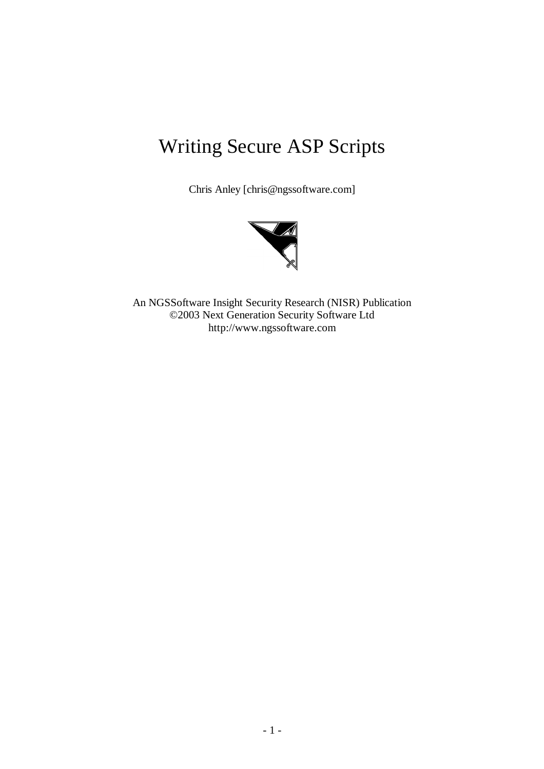# Writing Secure ASP Scripts

Chris Anley [chris@ngssoftware.com]



An NGSSoftware Insight Security Research (NISR) Publication ©2003 Next Generation Security Software Ltd http://www.ngssoftware.com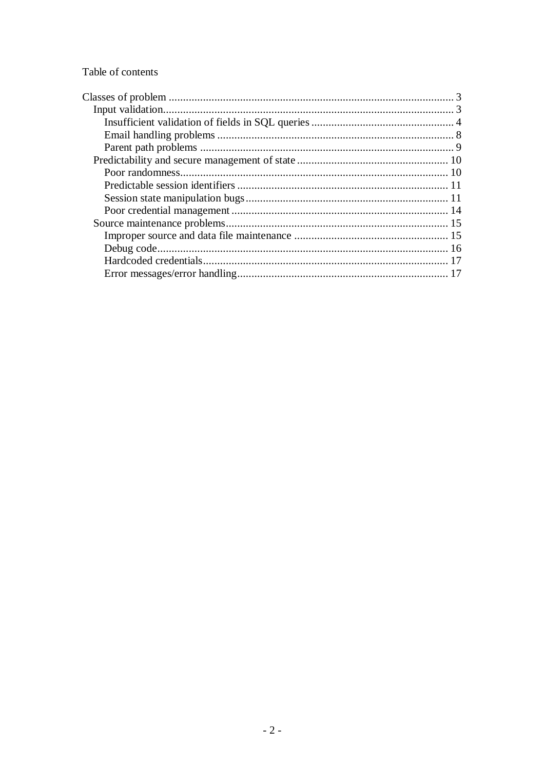Table of contents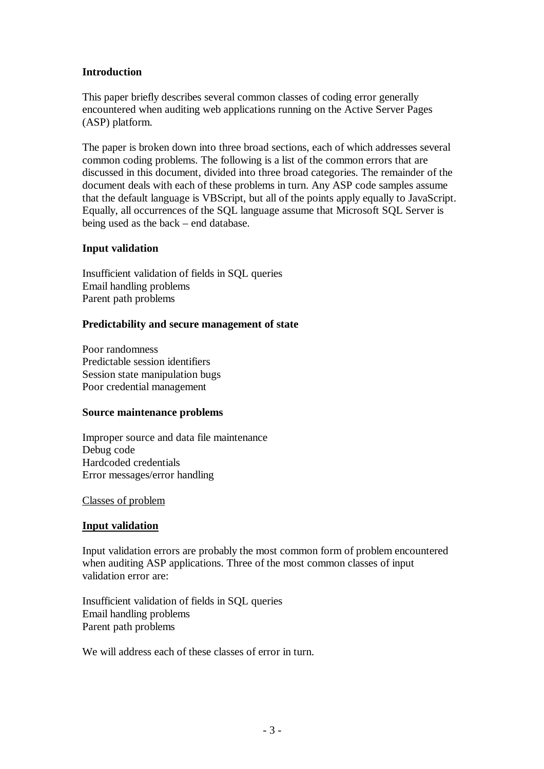# **Introduction**

This paper briefly describes several common classes of coding error generally encountered when auditing web applications running on the Active Server Pages (ASP) platform.

The paper is broken down into three broad sections, each of which addresses several common coding problems. The following is a list of the common errors that are discussed in this document, divided into three broad categories. The remainder of the document deals with each of these problems in turn. Any ASP code samples assume that the default language is VBScript, but all of the points apply equally to JavaScript. Equally, all occurrences of the SQL language assume that Microsoft SQL Server is being used as the back – end database.

# **Input validation**

Insufficient validation of fields in SQL queries Email handling problems Parent path problems

# **Predictability and secure management of state**

Poor randomness Predictable session identifiers Session state manipulation bugs Poor credential management

## **Source maintenance problems**

Improper source and data file maintenance Debug code Hardcoded credentials Error messages/error handling

## Classes of problem

## **Input validation**

Input validation errors are probably the most common form of problem encountered when auditing ASP applications. Three of the most common classes of input validation error are:

Insufficient validation of fields in SQL queries Email handling problems Parent path problems

We will address each of these classes of error in turn.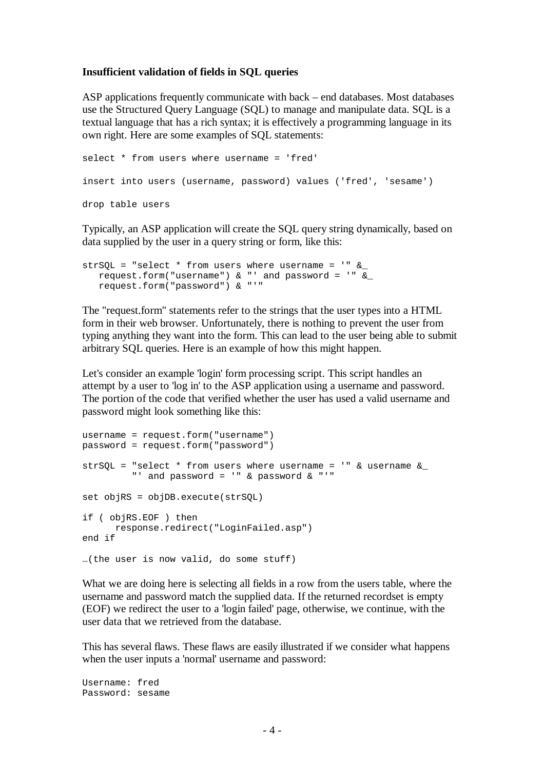#### **Insufficient validation of fields in SQL queries**

ASP applications frequently communicate with back – end databases. Most databases use the Structured Query Language (SQL) to manage and manipulate data. SQL is a textual language that has a rich syntax; it is effectively a programming language in its own right. Here are some examples of SQL statements:

```
select * from users where username = 'fred'
insert into users (username, password) values ('fred', 'sesame')
drop table users
```
Typically, an ASP application will create the SQL query string dynamically, based on data supplied by the user in a query string or form, like this:

```
strSQL = "select * from users where username = '" &
  request.form("username") & "' and password = '" \&request.form("password") & "'"
```
The "request.form" statements refer to the strings that the user types into a HTML form in their web browser. Unfortunately, there is nothing to prevent the user from typing anything they want into the form. This can lead to the user being able to submit arbitrary SQL queries. Here is an example of how this might happen.

Let's consider an example 'login' form processing script. This script handles an attempt by a user to 'log in' to the ASP application using a username and password. The portion of the code that verified whether the user has used a valid username and password might look something like this:

```
username = request.form("username")
password = request.form("password")
strSOL = "select * from users where username = '" & username &
         "' and password = '" & password & "'"
set objRS = objDB.execute(strSQL)
if ( objRS.EOF ) then
     response.redirect("LoginFailed.asp")
end if
…(the user is now valid, do some stuff)
```
What we are doing here is selecting all fields in a row from the users table, where the username and password match the supplied data. If the returned recordset is empty (EOF) we redirect the user to a 'login failed' page, otherwise, we continue, with the user data that we retrieved from the database.

This has several flaws. These flaws are easily illustrated if we consider what happens when the user inputs a 'normal' username and password:

Username: fred Password: sesame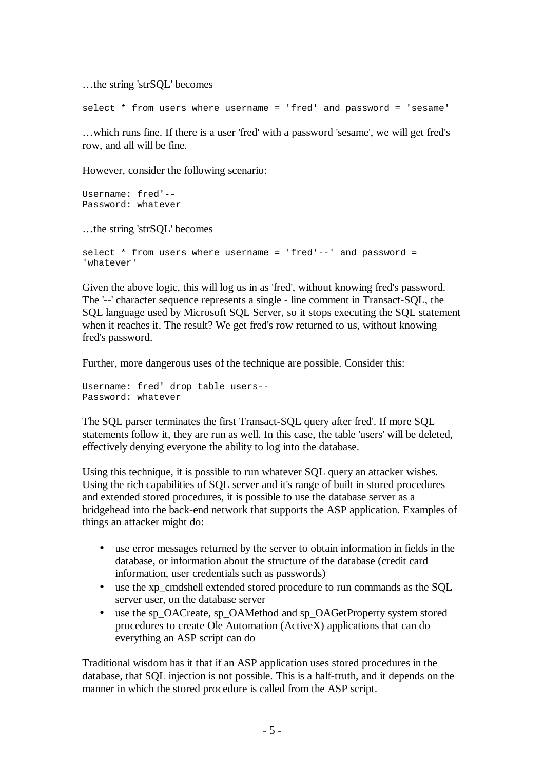…the string 'strSQL' becomes

select \* from users where username = 'fred' and password = 'sesame'

…which runs fine. If there is a user 'fred' with a password 'sesame', we will get fred's row, and all will be fine.

However, consider the following scenario:

```
Username: fred'--
Password: whatever
```
…the string 'strSQL' becomes

```
select * from users where username = 'fred'--' and password =
'whatever'
```
Given the above logic, this will log us in as 'fred', without knowing fred's password. The '--' character sequence represents a single - line comment in Transact-SQL, the SQL language used by Microsoft SQL Server, so it stops executing the SQL statement when it reaches it. The result? We get fred's row returned to us, without knowing fred's password.

Further, more dangerous uses of the technique are possible. Consider this:

Username: fred' drop table users-- Password: whatever

The SQL parser terminates the first Transact-SQL query after fred'. If more SQL statements follow it, they are run as well. In this case, the table 'users' will be deleted, effectively denying everyone the ability to log into the database.

Using this technique, it is possible to run whatever SQL query an attacker wishes. Using the rich capabilities of SQL server and it's range of built in stored procedures and extended stored procedures, it is possible to use the database server as a bridgehead into the back-end network that supports the ASP application. Examples of things an attacker might do:

- use error messages returned by the server to obtain information in fields in the database, or information about the structure of the database (credit card information, user credentials such as passwords)
- use the xp cmdshell extended stored procedure to run commands as the SOL server user, on the database server
- use the sp\_OACreate, sp\_OAMethod and sp\_OAGetProperty system stored procedures to create Ole Automation (ActiveX) applications that can do everything an ASP script can do

Traditional wisdom has it that if an ASP application uses stored procedures in the database, that SQL injection is not possible. This is a half-truth, and it depends on the manner in which the stored procedure is called from the ASP script.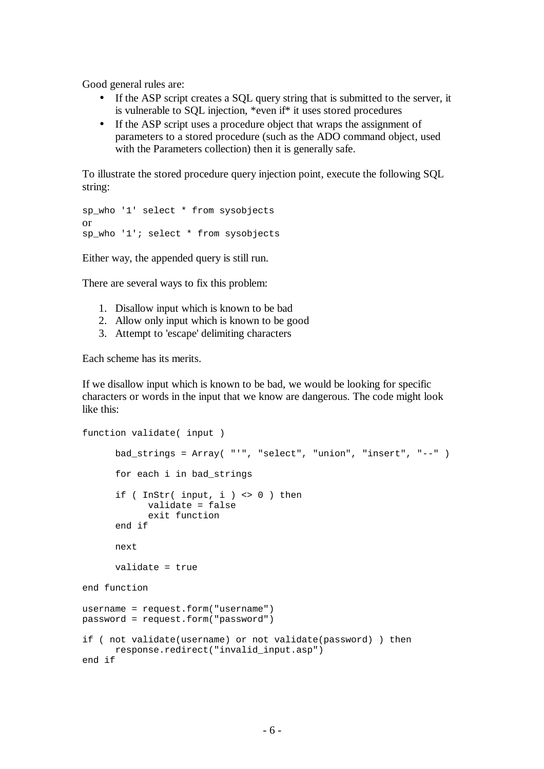Good general rules are:

- If the ASP script creates a SQL query string that is submitted to the server, it is vulnerable to SQL injection, \*even if\* it uses stored procedures
- If the ASP script uses a procedure object that wraps the assignment of parameters to a stored procedure (such as the ADO command object, used with the Parameters collection) then it is generally safe.

To illustrate the stored procedure query injection point, execute the following SQL string:

```
sp_who '1' select * from sysobjects
or
sp_who '1'; select * from sysobjects
```
Either way, the appended query is still run.

There are several ways to fix this problem:

- 1. Disallow input which is known to be bad
- 2. Allow only input which is known to be good
- 3. Attempt to 'escape' delimiting characters

Each scheme has its merits.

If we disallow input which is known to be bad, we would be looking for specific characters or words in the input that we know are dangerous. The code might look like this:

```
function validate( input )
      bad_strings = Array( "'", "select", "union", "insert", "--" )
      for each i in bad_strings
      if ( InStr( input, i ) <> 0 ) then
            validate = false
            exit function
      end if
      next
      validate = true
end function
username = request.form("username")
password = request.form("password")
if ( not validate(username) or not validate(password) ) then
     response.redirect("invalid_input.asp")
end if
```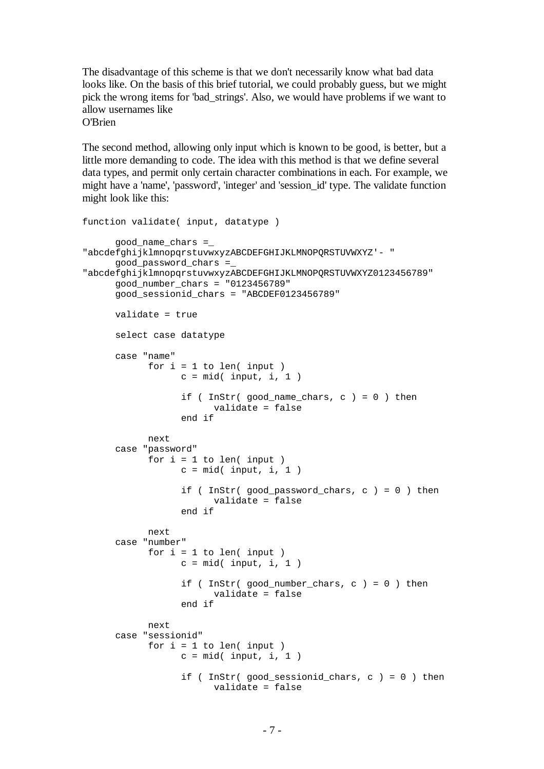The disadvantage of this scheme is that we don't necessarily know what bad data looks like. On the basis of this brief tutorial, we could probably guess, but we might pick the wrong items for 'bad\_strings'. Also, we would have problems if we want to allow usernames like O'Brien

The second method, allowing only input which is known to be good, is better, but a little more demanding to code. The idea with this method is that we define several data types, and permit only certain character combinations in each. For example, we might have a 'name', 'password', 'integer' and 'session\_id' type. The validate function might look like this:

```
function validate( input, datatype )
     good_name_chars =_
"abcdefghijklmnopqrstuvwxyzABCDEFGHIJKLMNOPQRSTUVWXYZ'- "
     good_password_chars =_
"abcdefghijklmnopqrstuvwxyzABCDEFGHIJKLMNOPQRSTUVWXYZ0123456789"
     good_number_chars = "0123456789"
     good_sessionid_chars = "ABCDEF0123456789"
     validate = true
     select case datatype
     case "name"
           for i = 1 to len( input)
                 c = mid( input, i, 1)if ( InStr( good name chars, c ) = 0 ) then
                       validate = false
                  end if
           next
     case "password"
           for i = 1 to len( input)
                 c = mid( input, i, 1)if ( InStr( good_password_chars, c ) = 0 ) then
                       validate = false
                  end if
           next
     case "number"
           for i = 1 to len( input)
                 c = mid( input, i, 1)if ( InStr( good_number_chars, c ) = 0 ) then
                        validate = false
                  end if
           next
     case "sessionid"
           for i = 1 to len( input)
                  c = mid(i) input, i, 1)
                  if ( InStr( good sessionid chars, c ) = 0 ) then
                        validate = false
```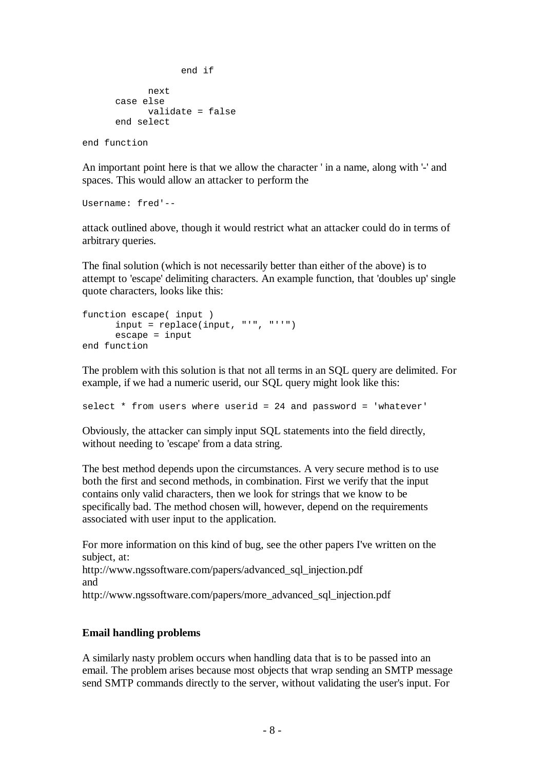```
end if
            next
      case else
            validate = false
      end select
end function
```
An important point here is that we allow the character ' in a name, along with '-' and spaces. This would allow an attacker to perform the

Username: fred'--

attack outlined above, though it would restrict what an attacker could do in terms of arbitrary queries.

The final solution (which is not necessarily better than either of the above) is to attempt to 'escape' delimiting characters. An example function, that 'doubles up' single quote characters, looks like this:

```
function escape( input )
      input = replace(input, "'", "''")
     escape = input
end function
```
The problem with this solution is that not all terms in an SQL query are delimited. For example, if we had a numeric userid, our SQL query might look like this:

select \* from users where userid = 24 and password = 'whatever'

Obviously, the attacker can simply input SQL statements into the field directly, without needing to 'escape' from a data string.

The best method depends upon the circumstances. A very secure method is to use both the first and second methods, in combination. First we verify that the input contains only valid characters, then we look for strings that we know to be specifically bad. The method chosen will, however, depend on the requirements associated with user input to the application.

For more information on this kind of bug, see the other papers I've written on the subject, at: http://www.ngssoftware.com/papers/advanced\_sql\_injection.pdf and http://www.ngssoftware.com/papers/more\_advanced\_sql\_injection.pdf

## **Email handling problems**

A similarly nasty problem occurs when handling data that is to be passed into an email. The problem arises because most objects that wrap sending an SMTP message send SMTP commands directly to the server, without validating the user's input. For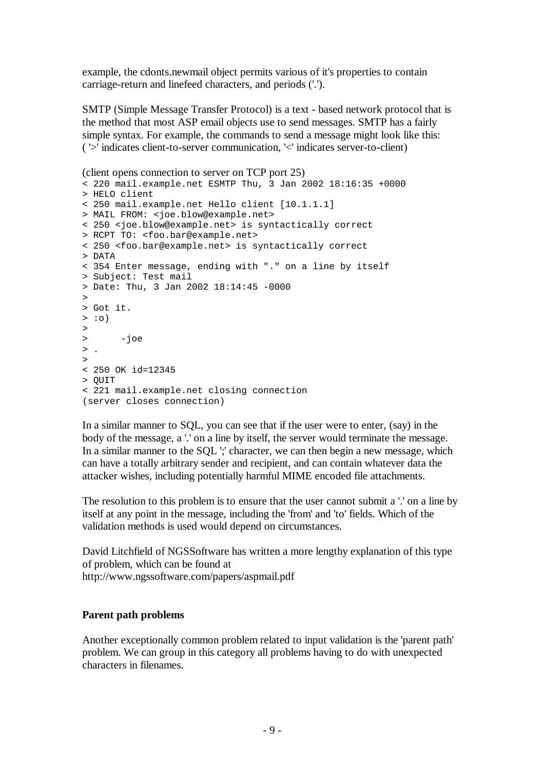example, the cdonts.newmail object permits various of it's properties to contain carriage-return and linefeed characters, and periods ('.').

SMTP (Simple Message Transfer Protocol) is a text - based network protocol that is the method that most ASP email objects use to send messages. SMTP has a fairly simple syntax. For example, the commands to send a message might look like this: ( '>' indicates client-to-server communication, '<' indicates server-to-client)

```
(client opens connection to server on TCP port 25)
< 220 mail.example.net ESMTP Thu, 3 Jan 2002 18:16:35 +0000
> HELO client
< 250 mail.example.net Hello client [10.1.1.1]
> MAIL FROM: <joe.blow@example.net>
< 250 <joe.blow@example.net> is syntactically correct
> RCPT TO: <foo.bar@example.net>
< 250 <foo.bar@example.net> is syntactically correct
> DATA
< 354 Enter message, ending with "." on a line by itself
> Subject: Test mail
> Date: Thu, 3 Jan 2002 18:14:45 -0000
>
> Got it.
> : \circ)
>
> -joe
> .
>
< 250 OK id=12345
> QUIT
< 221 mail.example.net closing connection
(server closes connection)
```
In a similar manner to SQL, you can see that if the user were to enter, (say) in the body of the message, a '.' on a line by itself, the server would terminate the message. In a similar manner to the SQL ';' character, we can then begin a new message, which can have a totally arbitrary sender and recipient, and can contain whatever data the attacker wishes, including potentially harmful MIME encoded file attachments.

The resolution to this problem is to ensure that the user cannot submit a '.' on a line by itself at any point in the message, including the 'from' and 'to' fields. Which of the validation methods is used would depend on circumstances.

David Litchfield of NGSSoftware has written a more lengthy explanation of this type of problem, which can be found at http://www.ngssoftware.com/papers/aspmail.pdf

## **Parent path problems**

Another exceptionally common problem related to input validation is the 'parent path' problem. We can group in this category all problems having to do with unexpected characters in filenames.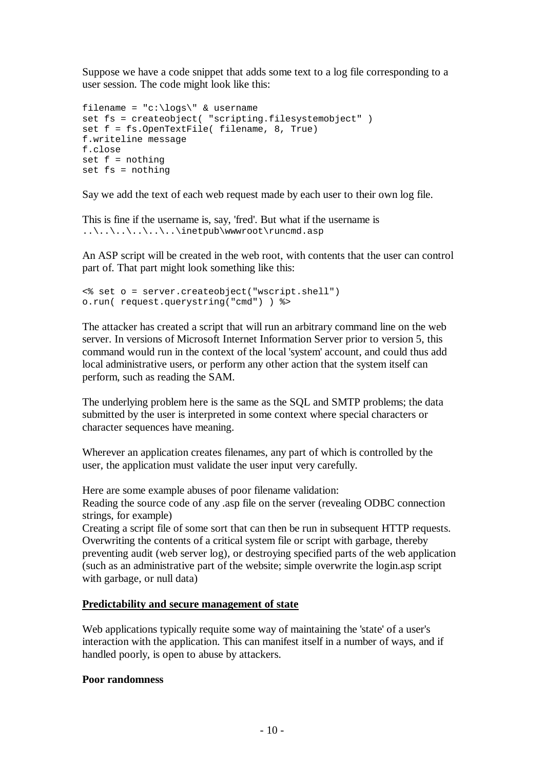Suppose we have a code snippet that adds some text to a log file corresponding to a user session. The code might look like this:

```
filename = \text{"c:\log} \" & username
set fs = createobject( "scripting.filesystemobiect" )
set f = fs.OpenTextFile( filename, 8, True)
f.writeline message
f.close
set f = nothing
set fs = nothing
```
Say we add the text of each web request made by each user to their own log file.

This is fine if the username is, say, 'fred'. But what if the username is ..\..\..\..\..\..\inetpub\wwwroot\runcmd.asp

An ASP script will be created in the web root, with contents that the user can control part of. That part might look something like this:

```
<% set o = server.createobject("wscript.shell")
o.run( request.querystring("cmd") ) %>
```
The attacker has created a script that will run an arbitrary command line on the web server. In versions of Microsoft Internet Information Server prior to version 5, this command would run in the context of the local 'system' account, and could thus add local administrative users, or perform any other action that the system itself can perform, such as reading the SAM.

The underlying problem here is the same as the SQL and SMTP problems; the data submitted by the user is interpreted in some context where special characters or character sequences have meaning.

Wherever an application creates filenames, any part of which is controlled by the user, the application must validate the user input very carefully.

Here are some example abuses of poor filename validation:

Reading the source code of any .asp file on the server (revealing ODBC connection strings, for example)

Creating a script file of some sort that can then be run in subsequent HTTP requests. Overwriting the contents of a critical system file or script with garbage, thereby preventing audit (web server log), or destroying specified parts of the web application (such as an administrative part of the website; simple overwrite the login.asp script with garbage, or null data)

# **Predictability and secure management of state**

Web applications typically requite some way of maintaining the 'state' of a user's interaction with the application. This can manifest itself in a number of ways, and if handled poorly, is open to abuse by attackers.

# **Poor randomness**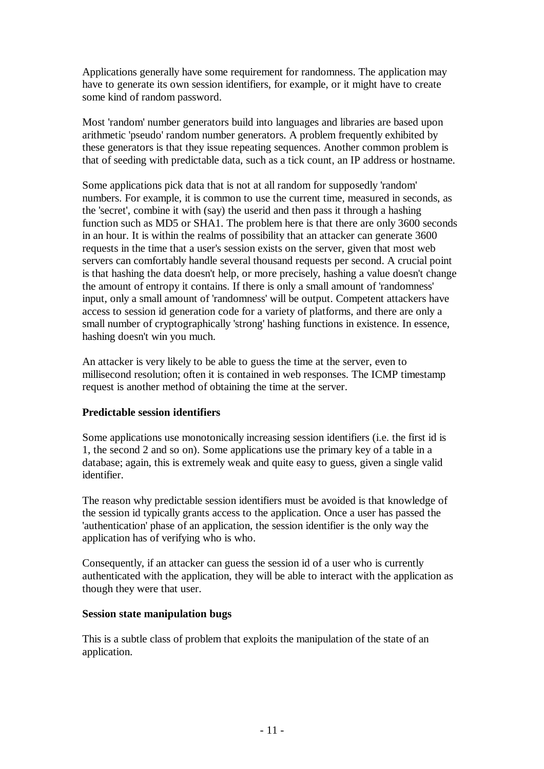Applications generally have some requirement for randomness. The application may have to generate its own session identifiers, for example, or it might have to create some kind of random password.

Most 'random' number generators build into languages and libraries are based upon arithmetic 'pseudo' random number generators. A problem frequently exhibited by these generators is that they issue repeating sequences. Another common problem is that of seeding with predictable data, such as a tick count, an IP address or hostname.

Some applications pick data that is not at all random for supposedly 'random' numbers. For example, it is common to use the current time, measured in seconds, as the 'secret', combine it with (say) the userid and then pass it through a hashing function such as MD5 or SHA1. The problem here is that there are only 3600 seconds in an hour. It is within the realms of possibility that an attacker can generate 3600 requests in the time that a user's session exists on the server, given that most web servers can comfortably handle several thousand requests per second. A crucial point is that hashing the data doesn't help, or more precisely, hashing a value doesn't change the amount of entropy it contains. If there is only a small amount of 'randomness' input, only a small amount of 'randomness' will be output. Competent attackers have access to session id generation code for a variety of platforms, and there are only a small number of cryptographically 'strong' hashing functions in existence. In essence, hashing doesn't win you much.

An attacker is very likely to be able to guess the time at the server, even to millisecond resolution; often it is contained in web responses. The ICMP timestamp request is another method of obtaining the time at the server.

# **Predictable session identifiers**

Some applications use monotonically increasing session identifiers (i.e. the first id is 1, the second 2 and so on). Some applications use the primary key of a table in a database; again, this is extremely weak and quite easy to guess, given a single valid identifier.

The reason why predictable session identifiers must be avoided is that knowledge of the session id typically grants access to the application. Once a user has passed the 'authentication' phase of an application, the session identifier is the only way the application has of verifying who is who.

Consequently, if an attacker can guess the session id of a user who is currently authenticated with the application, they will be able to interact with the application as though they were that user.

# **Session state manipulation bugs**

This is a subtle class of problem that exploits the manipulation of the state of an application.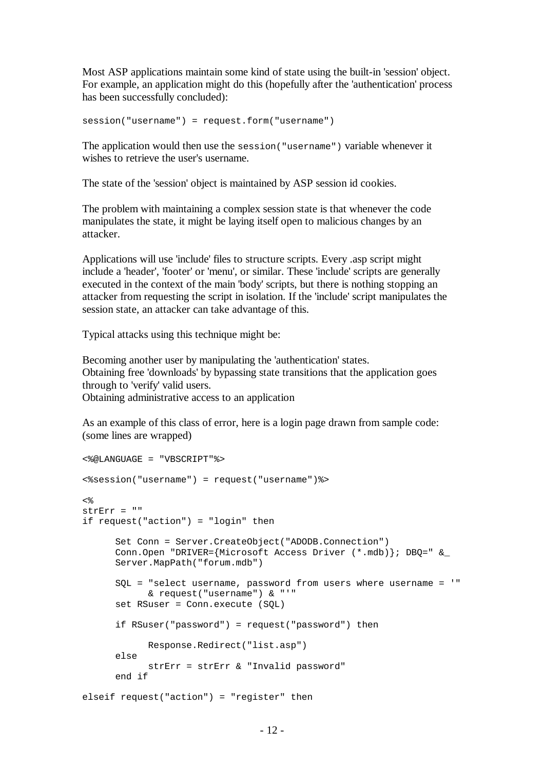Most ASP applications maintain some kind of state using the built-in 'session' object. For example, an application might do this (hopefully after the 'authentication' process has been successfully concluded):

session("username") = request.form("username")

The application would then use the session("username") variable whenever it wishes to retrieve the user's username.

The state of the 'session' object is maintained by ASP session id cookies.

The problem with maintaining a complex session state is that whenever the code manipulates the state, it might be laying itself open to malicious changes by an attacker.

Applications will use 'include' files to structure scripts. Every .asp script might include a 'header', 'footer' or 'menu', or similar. These 'include' scripts are generally executed in the context of the main 'body' scripts, but there is nothing stopping an attacker from requesting the script in isolation. If the 'include' script manipulates the session state, an attacker can take advantage of this.

Typical attacks using this technique might be:

Becoming another user by manipulating the 'authentication' states. Obtaining free 'downloads' by bypassing state transitions that the application goes through to 'verify' valid users. Obtaining administrative access to an application

As an example of this class of error, here is a login page drawn from sample code: (some lines are wrapped)

```
<%@LANGUAGE = "VBSCRIPT"%>
<%session("username") = request("username")%>
ے ر
strErr = "if request("action") = "login" then
      Set Conn = Server.CreateObject("ADODB.Connection")
      Conn.Open "DRIVER={Microsoft Access Driver (*.mdb)}; DBQ=" &_
      Server.MapPath("forum.mdb")
      SQL = "select username, password from users where username = '"
            & request("username") & "'"
      set RSuser = Conn.execute (SQL)
      if RSuser("password") = request("password") then
            Response.Redirect("list.asp")
      else
            strErr = strErr & "Invalid password"
      end if
elseif request("action") = "register" then
```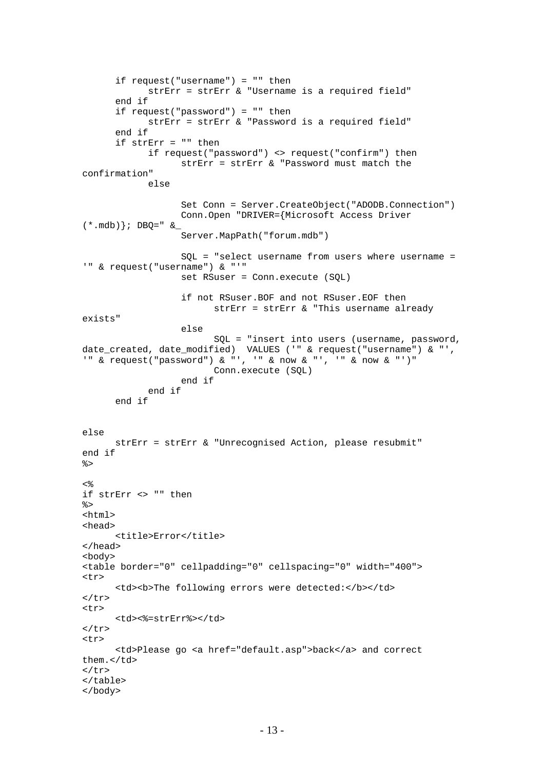```
if request("username") = "" then
           strErr = strErr & "Username is a required field"
      end if
      if request("password") = "" then
            strErr = strErr & "Password is a required field"
      end if
      if strErr = "" then
            if request("password") <> request("confirm") then
                   strErr = strErr & "Password must match the
confirmation"
            else
                   Set Conn = Server.CreateObject("ADODB.Connection")
                   Conn.Open "DRIVER={Microsoft Access Driver
(* .mdb); DBQ=" &_
                   Server.MapPath("forum.mdb")
                   SQL = "select username from users where username =
'" & request("username") & "'"
                   set RSuser = Conn.execute (SQL)
                   if not RSuser.BOF and not RSuser.EOF then
                         strErr = strErr & "This username already
exists"
                   else
                         SQL = "insert into users (username, password,
date_created, date_modified) VALUES ('" & request("username") & "',
'" & request("password") & "', '" & now & "', '" & now & "')"
                         Conn.execute (SQL)
                   end if
            end if
      end if
else
      strErr = strErr & "Unrecognised Action, please resubmit"
end if
\frac{6}{6}<\frac{6}{6}if strErr <> "" then
%>
<html>
<head>
      <title>Error</title>
</head>
<body>
<table border="0" cellpadding="0" cellspacing="0" width="400">
\epsilon+r>
      <td><br />b>The following errors were detected:</b></td>
\langle/tr>
<tr>
      <td><%=strErr%></td>
\langletr>
<tr>
      <td>Please go <a href="default.asp">back</a> and correct
them.</td>
\epsilon/tr>
</table>
</body>
```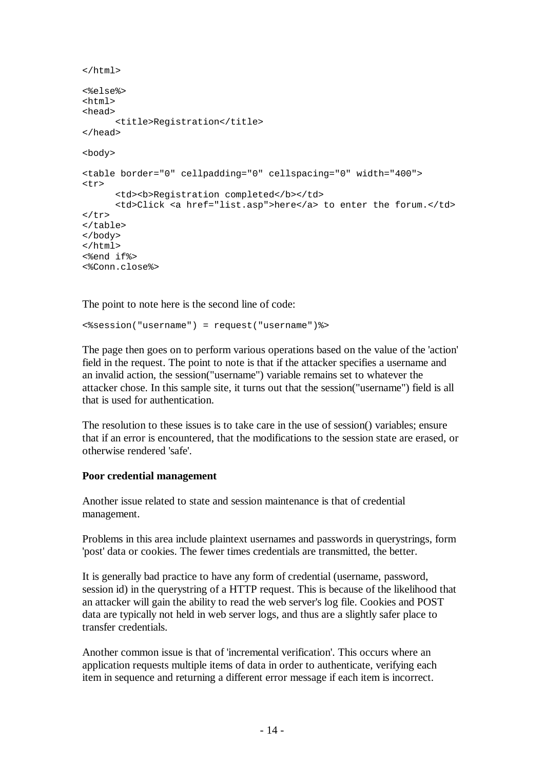```
</html>
<%else%>
<html><head>
      <title>Registration</title>
</head>
<body>
<table border="0" cellpadding="0" cellspacing="0" width="400">
<tr>
      <td><br />b>Registration completed</b></td>
      <td>Click <a href="list.asp">here</a> to enter the forum.</td>
\langletr>
</table>
</body>
</html>
<%end if%>
<%Conn.close%>
```
The point to note here is the second line of code:

<%session("username") = request("username")%>

The page then goes on to perform various operations based on the value of the 'action' field in the request. The point to note is that if the attacker specifies a username and an invalid action, the session("username") variable remains set to whatever the attacker chose. In this sample site, it turns out that the session("username") field is all that is used for authentication.

The resolution to these issues is to take care in the use of session() variables; ensure that if an error is encountered, that the modifications to the session state are erased, or otherwise rendered 'safe'.

#### **Poor credential management**

Another issue related to state and session maintenance is that of credential management.

Problems in this area include plaintext usernames and passwords in querystrings, form 'post' data or cookies. The fewer times credentials are transmitted, the better.

It is generally bad practice to have any form of credential (username, password, session id) in the querystring of a HTTP request. This is because of the likelihood that an attacker will gain the ability to read the web server's log file. Cookies and POST data are typically not held in web server logs, and thus are a slightly safer place to transfer credentials.

Another common issue is that of 'incremental verification'. This occurs where an application requests multiple items of data in order to authenticate, verifying each item in sequence and returning a different error message if each item is incorrect.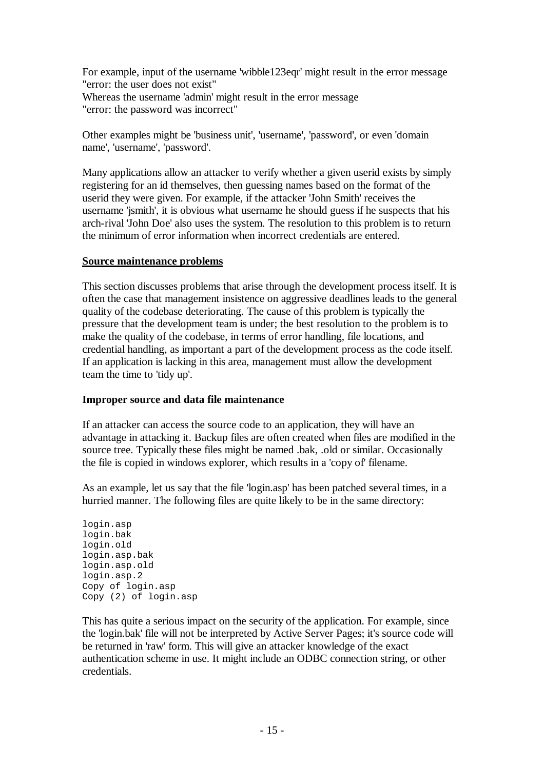For example, input of the username 'wibble123eqr' might result in the error message "error: the user does not exist" Whereas the username 'admin' might result in the error message "error: the password was incorrect"

Other examples might be 'business unit', 'username', 'password', or even 'domain name', 'username', 'password'.

Many applications allow an attacker to verify whether a given userid exists by simply registering for an id themselves, then guessing names based on the format of the userid they were given. For example, if the attacker 'John Smith' receives the username 'jsmith', it is obvious what username he should guess if he suspects that his arch-rival 'John Doe' also uses the system. The resolution to this problem is to return the minimum of error information when incorrect credentials are entered.

## **Source maintenance problems**

This section discusses problems that arise through the development process itself. It is often the case that management insistence on aggressive deadlines leads to the general quality of the codebase deteriorating. The cause of this problem is typically the pressure that the development team is under; the best resolution to the problem is to make the quality of the codebase, in terms of error handling, file locations, and credential handling, as important a part of the development process as the code itself. If an application is lacking in this area, management must allow the development team the time to 'tidy up'.

## **Improper source and data file maintenance**

If an attacker can access the source code to an application, they will have an advantage in attacking it. Backup files are often created when files are modified in the source tree. Typically these files might be named .bak, .old or similar. Occasionally the file is copied in windows explorer, which results in a 'copy of' filename.

As an example, let us say that the file 'login.asp' has been patched several times, in a hurried manner. The following files are quite likely to be in the same directory:

login.asp login.bak login.old login.asp.bak login.asp.old login.asp.2 Copy of login.asp Copy (2) of login.asp

This has quite a serious impact on the security of the application. For example, since the 'login.bak' file will not be interpreted by Active Server Pages; it's source code will be returned in 'raw' form. This will give an attacker knowledge of the exact authentication scheme in use. It might include an ODBC connection string, or other credentials.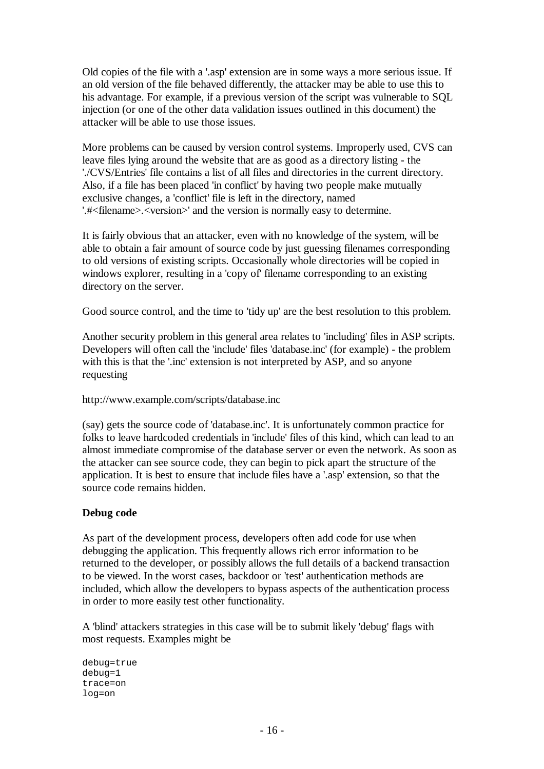Old copies of the file with a '.asp' extension are in some ways a more serious issue. If an old version of the file behaved differently, the attacker may be able to use this to his advantage. For example, if a previous version of the script was vulnerable to SQL injection (or one of the other data validation issues outlined in this document) the attacker will be able to use those issues.

More problems can be caused by version control systems. Improperly used, CVS can leave files lying around the website that are as good as a directory listing - the './CVS/Entries' file contains a list of all files and directories in the current directory. Also, if a file has been placed 'in conflict' by having two people make mutually exclusive changes, a 'conflict' file is left in the directory, named '.#<filename>.<version>' and the version is normally easy to determine.

It is fairly obvious that an attacker, even with no knowledge of the system, will be able to obtain a fair amount of source code by just guessing filenames corresponding to old versions of existing scripts. Occasionally whole directories will be copied in windows explorer, resulting in a 'copy of' filename corresponding to an existing directory on the server.

Good source control, and the time to 'tidy up' are the best resolution to this problem.

Another security problem in this general area relates to 'including' files in ASP scripts. Developers will often call the 'include' files 'database.inc' (for example) - the problem with this is that the '.inc' extension is not interpreted by ASP, and so anyone requesting

http://www.example.com/scripts/database.inc

(say) gets the source code of 'database.inc'. It is unfortunately common practice for folks to leave hardcoded credentials in 'include' files of this kind, which can lead to an almost immediate compromise of the database server or even the network. As soon as the attacker can see source code, they can begin to pick apart the structure of the application. It is best to ensure that include files have a '.asp' extension, so that the source code remains hidden.

# **Debug code**

As part of the development process, developers often add code for use when debugging the application. This frequently allows rich error information to be returned to the developer, or possibly allows the full details of a backend transaction to be viewed. In the worst cases, backdoor or 'test' authentication methods are included, which allow the developers to bypass aspects of the authentication process in order to more easily test other functionality.

A 'blind' attackers strategies in this case will be to submit likely 'debug' flags with most requests. Examples might be

```
debug=true
debug=1
trace=on
log=on
```